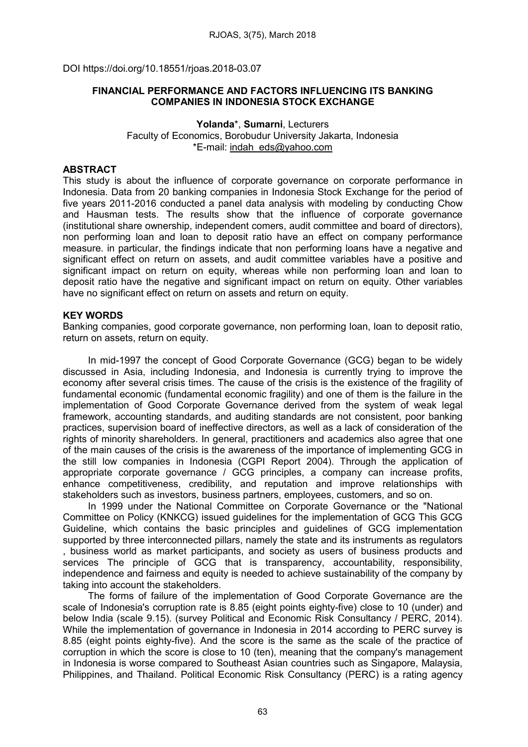DOI https://doi.org/10.18551/rjoas.2018-03.07

## FINANCIAL PERFORMANCE AND FACTORS INFLUENCING ITS BANKING COMPANIES IN INDONESIA STOCK EXCHANGE

Yolanda\*, Sumarni, Lecturers Faculty of Economics, Borobudur University Jakarta, Indonesia \*E-mail: [indah\\_eds@yahoo.com](mailto:indah_eds@yahoo.com)

## **ABSTRACT**

This study is about the influence of corporate governance on corporate performance in Indonesia. Data from 20 banking companies in Indonesia Stock Exchange for the period of five years 2011-2016 conducted a panel data analysis with modeling by conducting Chow and Hausman tests. The results show that the influence of corporate governance (institutional share ownership, independent comers, audit committee and board of directors), non performing loan and loan to deposit ratio have an effect on company performance measure. in particular, the findings indicate that non performing loans have a negative and significant effect on return on assets, and audit committee variables have a positive and significant impact on return on equity, whereas while non performing loan and loan to deposit ratio have the negative and significant impact on return on equity. Other variables have no significant effect on return on assets and return on equity.

## KEY WORDS

Banking companies, good corporate governance, non performing loan, loan to deposit ratio, return on assets, return on equity.

In mid-1997 the concept of Good Corporate Governance (GCG) began to be widely discussed in Asia, including Indonesia, and Indonesia is currently trying to improve the economy after several crisis times. The cause of the crisis is the existence of the fragility of fundamental economic (fundamental economic fragility) and one of them is the failure in the implementation of Good Corporate Governance derived from the system of weak legal framework, accounting standards, and auditing standards are not consistent, poor banking practices, supervision board of ineffective directors, as well as a lack of consideration of the rights of minority shareholders. In general, practitioners and academics also agree that one of the main causes of the crisis is the awareness of the importance of implementing GCG in the still low companies in Indonesia (CGPI Report 2004). Through the application of appropriate corporate governance / GCG principles, a company can increase profits, enhance competitiveness, credibility, and reputation and improve relationships with stakeholders such as investors, business partners, employees, customers, and so on.

In 1999 under the National Committee on Corporate Governance or the "National Committee on Policy (KNKCG) issued guidelines for the implementation of GCG This GCG Guideline, which contains the basic principles and guidelines of GCG implementation supported by three interconnected pillars, namely the state and its instruments as regulators , business world as market participants, and society as users of business products and services The principle of GCG that is transparency, accountability, responsibility, independence and fairness and equity is needed to achieve sustainability of the company by taking into account the stakeholders.

The forms of failure of the implementation of Good Corporate Governance are the scale of Indonesia's corruption rate is 8.85 (eight points eighty-five) close to 10 (under) and below India (scale 9.15). (survey Political and Economic Risk Consultancy / PERC, 2014). While the implementation of governance in Indonesia in 2014 according to PERC survey is 8.85 (eight points eighty-five). And the score is the same as the scale of the practice of corruption in which the score is close to 10 (ten), meaning that the company's management in Indonesia is worse compared to Southeast Asian countries such as Singapore, Malaysia, Philippines, and Thailand. Political Economic Risk Consultancy (PERC) is a rating agency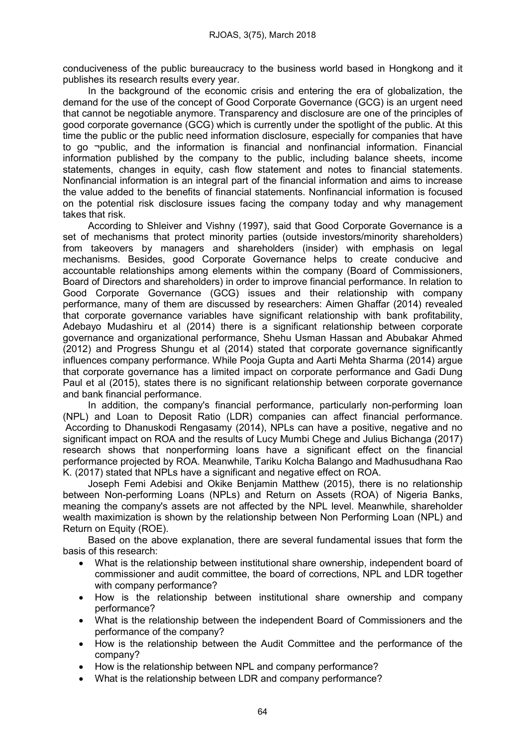conduciveness of the public bureaucracy to the business world based in Hongkong and it publishes its research results every year.

In the background of the economic crisis and entering the era of globalization, the demand for the use of the concept of Good Corporate Governance (GCG) is an urgent need that cannot be negotiable anymore. Transparency and disclosure are one of the principles of good corporate governance (GCG) which is currently under the spotlight of the public. At this time the public or the public need information disclosure, especially for companies that have to go ¬public, and the information is financial and nonfinancial information. Financial information published by the company to the public, including balance sheets, income statements, changes in equity, cash flow statement and notes to financial statements. Nonfinancial information is an integral part of the financial information and aims to increase the value added to the benefits of financial statements. Nonfinancial information is focused on the potential risk disclosure issues facing the company today and why management takes that risk.

According to Shleiver and Vishny (1997), said that Good Corporate Governance is a set of mechanisms that protect minority parties (outside investors/minority shareholders) from takeovers by managers and shareholders (insider) with emphasis on legal mechanisms. Besides, good Corporate Governance helps to create conducive and accountable relationships among elements within the company (Board of Commissioners, Board of Directors and shareholders) in order to improve financial performance. In relation to Good Corporate Governance (GCG) issues and their relationship with company performance, many of them are discussed by researchers: Aimen Ghaffar (2014) revealed that corporate governance variables have significant relationship with bank profitability, Adebayo Mudashiru et al (2014) there is a significant relationship between corporate governance and organizational performance, Shehu Usman Hassan and Abubakar Ahmed (2012) and Progress Shungu et al (2014) stated that corporate governance significantly influences company performance. While Pooja Gupta and Aarti Mehta Sharma (2014) argue that corporate governance has a limited impact on corporate performance and Gadi Dung Paul et al (2015), states there is no significant relationship between corporate governance and bank financial performance.

In addition, the company's financial performance, particularly non-performing loan (NPL) and Loan to Deposit Ratio (LDR) companies can affect financial performance. According to Dhanuskodi Rengasamy (2014), NPLs can have a positive, negative and no significant impact on ROA and the results of Lucy Mumbi Chege and Julius Bichanga (2017) research shows that nonperforming loans have a significant effect on the financial performance projected by ROA. Meanwhile, Tariku Kolcha Balango and Madhusudhana Rao K. (2017) stated that NPLs have a significant and negative effect on ROA.

Joseph Femi Adebisi and Okike Benjamin Matthew (2015), there is no relationship between Non-performing Loans (NPLs) and Return on Assets (ROA) of Nigeria Banks, meaning the company's assets are not affected by the NPL level. Meanwhile, shareholder wealth maximization is shown by the relationship between Non Performing Loan (NPL) and Return on Equity (ROE).

Based on the above explanation, there are several fundamental issues that form the basis of this research:

- What is the relationship between institutional share ownership, independent board of commissioner and audit committee, the board of corrections, NPL and LDR together with company performance?
- How is the relationship between institutional share ownership and company performance?
- What is the relationship between the independent Board of Commissioners and the performance of the company?
- How is the relationship between the Audit Committee and the performance of the company?
- How is the relationship between NPL and company performance?
- What is the relationship between LDR and company performance?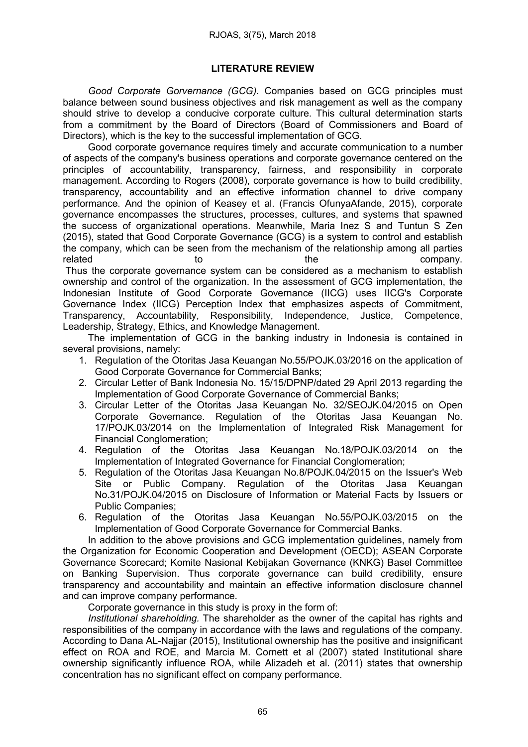# LITERATURE REVIEW

*Good Corporate Gorvernance (GCG).* Companies based on GCG principles must balance between sound business objectives and risk management as well as the company should strive to develop a conducive corporate culture. This cultural determination starts from a commitment by the Board of Directors (Board of Commissioners and Board of Directors), which is the key to the successful implementation of GCG.

Good corporate governance requires timely and accurate communication to a number of aspects of the company's business operations and corporate governance centered on the principles of accountability, transparency, fairness, and responsibility in corporate management. According to Rogers (2008), corporate governance is how to build credibility, transparency, accountability and an effective information channel to drive company performance. And the opinion of Keasey et al. (Francis OfunyaAfande, 2015), corporate governance encompasses the structures, processes, cultures, and systems that spawned the success of organizational operations. Meanwhile, Maria Inez S and Tuntun S Zen (2015), stated that Good Corporate Governance (GCG) is a system to control and establish the company, which can be seen from the mechanism of the relationship among all parties related to to the the company.

Thus the corporate governance system can be considered as a mechanism to establish ownership and control of the organization. In the assessment of GCG implementation, the Indonesian Institute of Good Corporate Governance (IICG) uses IICG's Corporate Governance Index (IICG) Perception Index that emphasizes aspects of Commitment, Transparency, Accountability, Responsibility, Independence, Justice, Competence, Leadership, Strategy, Ethics, and Knowledge Management.

The implementation of GCG in the banking industry in Indonesia is contained in several provisions, namely:

- 1. Regulation of the Otoritas Jasa Keuangan No.55/POJK.03/2016 on the application of Good Corporate Governance for Commercial Banks;
- 2. Circular Letter of Bank Indonesia No. 15/15/DPNP/dated 29 April 2013 regarding the Implementation of Good Corporate Governance of Commercial Banks;
- 3. Circular Letter of the Otoritas Jasa Keuangan No. 32/SEOJK.04/2015 on Open Corporate Governance. Regulation of the Otoritas Jasa Keuangan No. 17/POJK.03/2014 on the Implementation of Integrated Risk Management for Financial Conglomeration;
- 4. Regulation of the Otoritas Jasa Keuangan No.18/POJK.03/2014 on the Implementation of Integrated Governance for Financial Conglomeration;
- 5. Regulation of the Otoritas Jasa Keuangan No.8/POJK.04/2015 on the Issuer's Web Site or Public Company. Regulation of the Otoritas Jasa Keuangan No.31/POJK.04/2015 on Disclosure of Information or Material Facts by Issuers or Public Companies;
- 6. Regulation of the Otoritas Jasa Keuangan No.55/POJK.03/2015 on the Implementation of Good Corporate Governance for Commercial Banks.

In addition to the above provisions and GCG implementation guidelines, namely from the Organization for Economic Cooperation and Development (OECD); ASEAN Corporate Governance Scorecard; Komite Nasional Kebijakan Governance (KNKG) Basel Committee on Banking Supervision. Thus corporate governance can build credibility, ensure transparency and accountability and maintain an effective information disclosure channel and can improve company performance.

Corporate governance in this study is proxy in the form of:

*Institutional shareholding.* The shareholder as the owner of the capital has rights and responsibilities of the company in accordance with the laws and regulations of the company. According to Dana AL-Najjar (2015), Institutional ownership has the positive and insignificant effect on ROA and ROE, and Marcia M. Cornett et al (2007) stated Institutional share ownership significantly influence ROA, while Alizadeh et al. (2011) states that ownership concentration has no significant effect on company performance.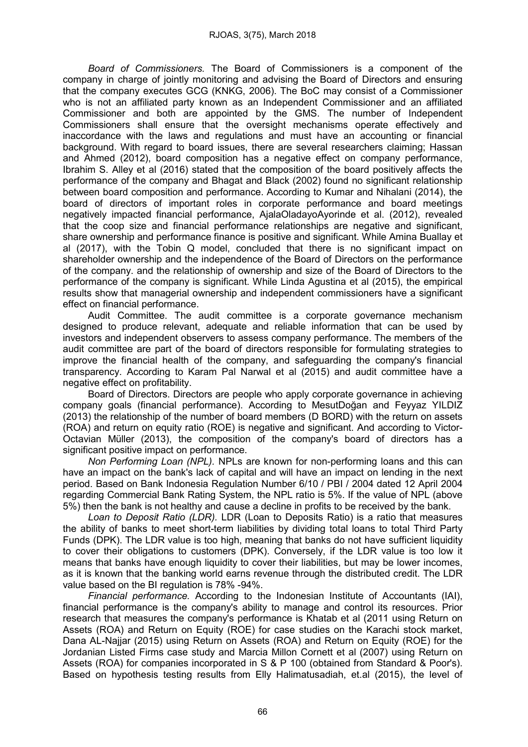*Board of Commissioners.* The Board of Commissioners is a component of the company in charge of jointly monitoring and advising the Board of Directors and ensuring that the company executes GCG (KNKG, 2006). The BoC may consist of a Commissioner who is not an affiliated party known as an Independent Commissioner and an affiliated Commissioner and both are appointed by the GMS. The number of Independent Commissioners shall ensure that the oversight mechanisms operate effectively and inaccordance with the laws and regulations and must have an accounting or financial background. With regard to board issues, there are several researchers claiming; Hassan and Ahmed (2012), board composition has a negative effect on company performance, Ibrahim S. Alley et al (2016) stated that the composition of the board positively affects the performance of the company and Bhagat and Black (2002) found no significant relationship between board composition and performance. According to Kumar and Nihalani (2014), the board of directors of important roles in corporate performance and board meetings negatively impacted financial performance, AjalaOladayoAyorinde et al. (2012), revealed that the coop size and financial performance relationships are negative and significant, share ownership and performance finance is positive and significant. While Amina Buallay et al (2017), with the Tobin Q model, concluded that there is no significant impact on shareholder ownership and the independence of the Board of Directors on the performance of the company. and the relationship of ownership and size of the Board of Directors to the performance of the company is significant. While Linda Agustina et al (2015), the empirical results show that managerial ownership and independent commissioners have a significant effect on financial performance.

Audit Committee. The audit committee is a corporate governance mechanism designed to produce relevant, adequate and reliable information that can be used by investors and independent observers to assess company performance. The members of the audit committee are part of the board of directors responsible for formulating strategies to improve the financial health of the company, and safeguarding the company's financial transparency. According to Karam Pal Narwal et al (2015) and audit committee have a negative effect on profitability.

Board of Directors. Directors are people who apply corporate governance in achieving company goals (financial performance). According to MesutDoğan and Feyyaz YILDIZ (2013) the relationship of the number of board members (D BORD) with the return on assets (ROA) and return on equity ratio (ROE) is negative and significant. And according to Victor-Octavian Müller (2013), the composition of the company's board of directors has a significant positive impact on performance.

*Non Performing Loan (NPL).* NPLs are known for non-performing loans and this can have an impact on the bank's lack of capital and will have an impact on lending in the next period. Based on Bank Indonesia Regulation Number 6/10 / PBI / 2004 dated 12 April 2004 regarding Commercial Bank Rating System, the NPL ratio is 5%. If the value of NPL (above 5%) then the bank is not healthy and cause a decline in profits to be received by the bank.

*Loan to Deposit Ratio (LDR).* LDR (Loan to Deposits Ratio) is a ratio that measures the ability of banks to meet short-term liabilities by dividing total loans to total Third Party Funds (DPK). The LDR value is too high, meaning that banks do not have sufficient liquidity to cover their obligations to customers (DPK). Conversely, if the LDR value is too low it means that banks have enough liquidity to cover their liabilities, but may be lower incomes, as it is known that the banking world earns revenue through the distributed credit. The LDR value based on the BI regulation is 78% -94%.

*Financial performance.* According to the Indonesian Institute of Accountants (IAI), financial performance is the company's ability to manage and control its resources. Prior research that measures the company's performance is Khatab et al (2011 using Return on Assets (ROA) and Return on Equity (ROE) for case studies on the Karachi stock market, Dana AL-Najjar (2015) using Return on Assets (ROA) and Return on Equity (ROE) for the Jordanian Listed Firms case study and Marcia Millon Cornett et al (2007) using Return on Assets (ROA) for companies incorporated in S & P 100 (obtained from Standard & Poor's). Based on hypothesis testing results from Elly Halimatusadiah, et.al (2015), the level of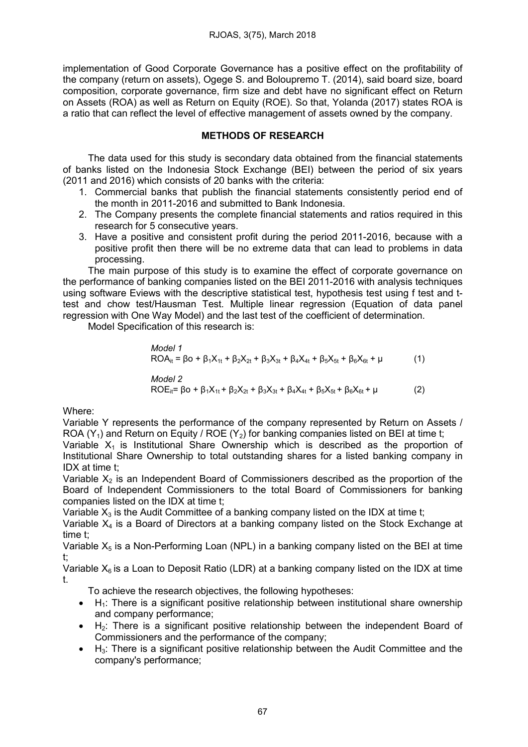implementation of Good Corporate Governance has a positive effect on the profitability of the company (return on assets), Ogege S. and Boloupremo T. (2014), said board size, board composition, corporate governance, firm size and debt have no significant effect on Return on Assets (ROA) as well as Return on Equity (ROE). So that, Yolanda (2017) states ROA is a ratio that can reflect the level of effective management of assets owned by the company.

# METHODS OF RESEARCH

The data used for this study is secondary data obtained from the financial statements of banks listed on the Indonesia Stock Exchange (BEI) between the period of six years (2011 and 2016) which consists of 20 banks with the criteria:

- 1. Commercial banks that publish the financial statements consistently period end of the month in 2011-2016 and submitted to Bank Indonesia.
- 2. The Company presents the complete financial statements and ratios required in this research for 5 consecutive years.
- 3. Have a positive and consistent profit during the period 2011-2016, because with a positive profit then there will be no extreme data that can lead to problems in data processing.

The main purpose of this study is to examine the effect of corporate governance on the performance of banking companies listed on the BEI 2011-2016 with analysis techniques using software Eviews with the descriptive statistical test, hypothesis test using f test and ttest and chow test/Hausman Test. Multiple linear regression (Equation of data panel regression with One Way Model) and the last test of the coefficient of determination.

Model Specification of this research is:

*Model 1* ROAit = βo + β1X1t + β2X2t + β3X3t + β4X4t + β5X5t + β6X6t + μ (1)

*Model 2* ROEit= βo + β1X1t + β2X2t + β3X3t + β4X4t + β5X5t + β6X6t + μ (2)

Where:

Variable Y represents the performance of the company represented by Return on Assets / ROA  $(Y_1)$  and Return on Equity / ROE  $(Y_2)$  for banking companies listed on BEI at time t;

Variable  $X_1$  is Institutional Share Ownership which is described as the proportion of Institutional Share Ownership to total outstanding shares for a listed banking company in IDX at time t;

Variable  $X_2$  is an Independent Board of Commissioners described as the proportion of the Board of Independent Commissioners to the total Board of Commissioners for banking companies listed on the IDX at time t;

Variable  $X_3$  is the Audit Committee of a banking company listed on the IDX at time t;

Variable  $X_4$  is a Board of Directors at a banking company listed on the Stock Exchange at time t;

Variable  $X_5$  is a Non-Performing Loan (NPL) in a banking company listed on the BEI at time t;

Variable  $X_6$  is a Loan to Deposit Ratio (LDR) at a banking company listed on the IDX at time t.

To achieve the research objectives, the following hypotheses:

- $\bullet$  H<sub>1</sub>: There is a significant positive relationship between institutional share ownership and company performance;
- $\bullet$  H<sub>2</sub>: There is a significant positive relationship between the independent Board of Commissioners and the performance of the company;
- $\bullet$  H<sub>3</sub>: There is a significant positive relationship between the Audit Committee and the company's performance;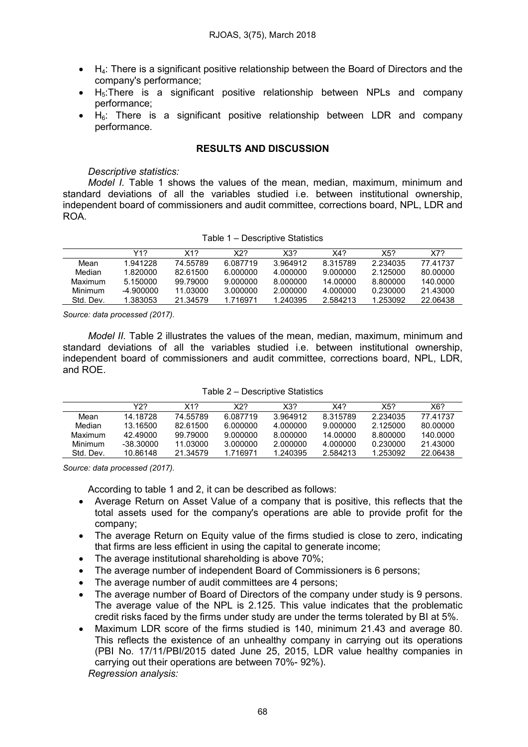- $\bullet$  H<sub>4</sub>: There is a significant positive relationship between the Board of Directors and the company's performance;
- $\bullet$  H<sub>5</sub>: There is a significant positive relationship between NPLs and company performance;
- $\bullet$  H<sub>6</sub>: There is a significant positive relationship between LDR and company performance.

### RESULTS AND DISCUSSION

#### *Descriptive statistics:*

*Model I.* Table 1 shows the values of the mean, median, maximum, minimum and standard deviations of all the variables studied i.e. between institutional ownership, independent board of commissioners and audit committee, corrections board, NPL, LDR and ROA.

|           | Y1?       | X12      | X22      | X32      | X4?      | X5?      | X7?      |
|-----------|-----------|----------|----------|----------|----------|----------|----------|
| Mean      | 1.941228  | 74.55789 | 6.087719 | 3.964912 | 8.315789 | 2.234035 | 77.41737 |
| Median    | 1.820000  | 82.61500 | 6.000000 | 4.000000 | 9.000000 | 2.125000 | 80.00000 |
| Maximum   | 5.150000  | 99.79000 | 9.000000 | 8.000000 | 14.00000 | 8.800000 | 140.0000 |
| Minimum   | -4.900000 | 11.03000 | 3.000000 | 2.000000 | 4.000000 | 0.230000 | 21.43000 |
| Std. Dev. | 1.383053  | 21.34579 | 1.716971 | 1.240395 | 2.584213 | 1.253092 | 22.06438 |

Table 1 – Descriptive Statistics

*Source: data processed (2017).*

*Model II.* Table 2 illustrates the values of the mean, median, maximum, minimum and standard deviations of all the variables studied i.e. between institutional ownership, independent board of commissioners and audit committee, corrections board, NPL, LDR, and ROE.

|           | Y2?       | X17      | X22      | X32      | X4?      | X5?      | X6?      |
|-----------|-----------|----------|----------|----------|----------|----------|----------|
| Mean      | 14.18728  | 74.55789 | 6.087719 | 3.964912 | 8.315789 | 2.234035 | 77.41737 |
| Median    | 13.16500  | 82.61500 | 6.000000 | 4.000000 | 9.000000 | 2.125000 | 80.00000 |
| Maximum   | 42.49000  | 99.79000 | 9.000000 | 8.000000 | 14.00000 | 8.800000 | 140.0000 |
| Minimum   | -38.30000 | 11.03000 | 3.000000 | 2.000000 | 4.000000 | 0.230000 | 21.43000 |
| Std. Dev. | 10.86148  | 21.34579 | 1.716971 | 1.240395 | 2.584213 | 1.253092 | 22.06438 |

*Source: data processed (2017).*

According to table 1 and 2, it can be described as follows:

- Average Return on Asset Value of a company that is positive, this reflects that the total assets used for the company's operations are able to provide profit for the company;
- The average Return on Equity value of the firms studied is close to zero, indicating that firms are less efficient in using the capital to generate income;
- The average institutional shareholding is above 70%;
- The average number of independent Board of Commissioners is 6 persons;
- The average number of audit committees are 4 persons;
- The average number of Board of Directors of the company under study is 9 persons. The average value of the NPL is 2.125. This value indicates that the problematic credit risks faced by the firms under study are under the terms tolerated by BI at 5%.
- Maximum LDR score of the firms studied is 140, minimum 21.43 and average 80. This reflects the existence of an unhealthy company in carrying out its operations (PBI No. 17/11/PBI/2015 dated June 25, 2015, LDR value healthy companies in carrying out their operations are between 70%- 92%). *Regression analysis:*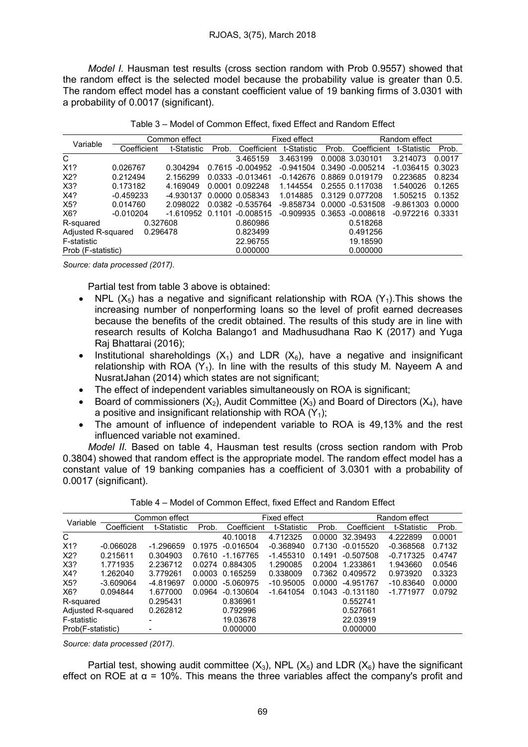*Model I.* Hausman test results (cross section random with Prob 0.9557) showed that the random effect is the selected model because the probability value is greater than 0.5. The random effect model has a constant coefficient value of 19 banking firms of 3.0301 with a probability of 0.0017 (significant).

| Variable                       |             | Common effect | Fixed effect |                  |             | Random effect |                     |                    |        |
|--------------------------------|-------------|---------------|--------------|------------------|-------------|---------------|---------------------|--------------------|--------|
|                                | Coefficient | t-Statistic   | Prob.        | Coefficient      | t-Statistic | Prob.         | Coefficient         | t-Statistic        | Prob.  |
| C                              |             |               |              | 3.465159         | 3.463199    |               | 0.0008 3.030101     | 3.214073           | 0.0017 |
| X <sub>1</sub> ?               | 0.026767    | 0.304294      |              | 0.7615 -0.004952 | -0.941504   |               | 0.3490 -0.005214    | $-1.036415$        | 0.3023 |
| X2?                            | 0.212494    | 2.156299      |              | 0.0333 -0.013461 | $-0.142676$ |               | 0.8869 0.019179     | 0.223685           | 0.8234 |
| X3?                            | 0.173182    | 4.169049      |              | 0.0001 0.092248  | 1.144554    |               | 0.2555 0.117038     | 1.540026           | 0.1265 |
| X4?                            | $-0.459233$ | -4.930137     |              | 0.0000 0.058343  | 1.014885    |               | 0.3129 0.077208     | 1.505215           | 0.1352 |
| X <sub>5</sub> ?               | 0.014760    | 2.098022      |              | 0.0382 -0.535764 | -9.858734   |               | $0.0000 - 0.531508$ | $-9.861303$        | 0.0000 |
| X6?                            | $-0.010204$ | -1.610952     | 0.1101       | $-0.008515$      | -0.909935   |               | 0.3653 -0.008618    | $-0.972216$ 0.3331 |        |
| R-squared                      | 0.327608    |               |              | 0.860986         |             |               | 0.518268            |                    |        |
| Adjusted R-squared<br>0.296478 |             |               |              | 0.823499         |             |               | 0.491256            |                    |        |
| F-statistic                    |             |               |              | 22.96755         |             |               | 19.18590            |                    |        |
| Prob (F-statistic)             |             |               |              | 0.000000         |             |               | 0.000000            |                    |        |

*Source: data processed (2017).*

Partial test from table 3 above is obtained:

- NPL  $(X_5)$  has a negative and significant relationship with ROA  $(Y_1)$ . This shows the increasing number of nonperforming loans so the level of profit earned decreases because the benefits of the credit obtained. The results of this study are in line with research results of Kolcha Balango1 and Madhusudhana Rao K (2017) and Yuga Raj Bhattarai (2016);
- Institutional shareholdings  $(X_1)$  and LDR  $(X_6)$ , have a negative and insignificant relationship with ROA  $(Y_1)$ . In line with the results of this study M. Nayeem A and NusratJahan (2014) which states are not significant;
- The effect of independent variables simultaneously on ROA is significant;
- Board of commissioners  $(X_2)$ , Audit Committee  $(X_3)$  and Board of Directors  $(X_4)$ , have a positive and insignificant relationship with ROA  $(Y_1)$ ;
- The amount of influence of independent variable to ROA is 49,13% and the rest influenced variable not examined.

*Model II.* Based on table 4, Hausman test results (cross section random with Prob 0.3804) showed that random effect is the appropriate model. The random effect model has a constant value of 19 banking companies has a coefficient of 3.0301 with a probability of 0.0017 (significant).

| Variable           |             | Common effect            |        | Fixed effect    |             |        | Random effect   |             |        |
|--------------------|-------------|--------------------------|--------|-----------------|-------------|--------|-----------------|-------------|--------|
|                    | Coefficient | t-Statistic              | Prob.  | Coefficient     | t-Statistic | Prob.  | Coefficient     | t-Statistic | Prob.  |
| C                  |             |                          |        | 40.10018        | 4.712325    | 0.0000 | 32.39493        | 4.222899    | 0.0001 |
| X <sub>1</sub> ?   | $-0.066028$ | $-1.296659$              | 0.1975 | $-0.016504$     | $-0.368940$ | 0.7130 | $-0.015520$     | $-0.368568$ | 0.7132 |
| X2?                | 0.215611    | 0.304903                 | 0.7610 | -1.167765       | $-1.455310$ | 0.1491 | $-0.507508$     | $-0.717325$ | 0.4747 |
| X3?                | 1.771935    | 2.236712                 |        | 0.0274 0.884305 | 1.290085    | 0.2004 | 1.233861        | 1.943660    | 0.0546 |
| X4?                | 1.262040    | 3.779261                 | 0.0003 | 0.165259        | 0.338009    |        | 0.7362 0.409572 | 0.973920    | 0.3323 |
| X <sub>5</sub> ?   | $-3.609064$ | -4.819697                | 0.0000 | -5.060975       | $-10.95005$ | 0.0000 | -4.951767       | $-10.83640$ | 0.0000 |
| X6?                | 0.094844    | 1.677000                 | 0.0964 | $-0.130604$     | -1.641054   | 0.1043 | $-0.131180$     | $-1.771977$ | 0.0792 |
| R-squared          |             | 0.295431                 |        | 0.836961        |             |        | 0.552741        |             |        |
| Adjusted R-squared |             | 0.262812                 |        | 0.792996        |             |        | 0.527661        |             |        |
| F-statistic        |             |                          |        | 19.03678        |             |        | 22.03919        |             |        |
| Prob(F-statistic)  |             | $\overline{\phantom{a}}$ |        | 0.000000        |             |        | 0.000000        |             |        |

Table 4 – Model of Common Effect, fixed Effect and Random Effect

*Source: data processed (2017).*

Partial test, showing audit committee  $(X_3)$ , NPL  $(X_5)$  and LDR  $(X_6)$  have the significant effect on ROE at  $\alpha$  = 10%. This means the three variables affect the company's profit and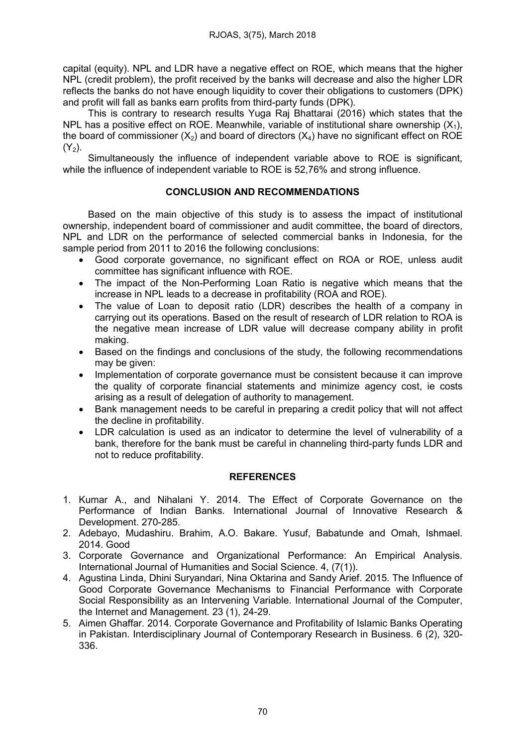capital (equity). NPL and LDR have a negative effect on ROE, which means that the higher NPL (credit problem), the profit received by the banks will decrease and also the higher LDR reflects the banks do not have enough liquidity to cover their obligations to customers (DPK) and profit will fall as banks earn profits from third-party funds (DPK).

This is contrary to research results Yuga Raj Bhattarai (2016) which states that the NPL has a positive effect on ROE. Meanwhile, variable of institutional share ownership  $(X_1)$ , the board of commissioner  $(X_2)$  and board of directors  $(X_4)$  have no significant effect on ROE  $(Y_2)$ .

Simultaneously the influence of independent variable above to ROE is significant, while the influence of independent variable to ROE is 52,76% and strong influence.

# CONCLUSION AND RECOMMENDATIONS

Based on the main objective of this study is to assess the impact of institutional ownership, independent board of commissioner and audit committee, the board of directors, NPL and LDR on the performance of selected commercial banks in Indonesia, for the sample period from 2011 to 2016 the following conclusions:

- Good corporate governance, no significant effect on ROA or ROE, unless audit committee has significant influence with ROE.
- The impact of the Non-Performing Loan Ratio is negative which means that the increase in NPL leads to a decrease in profitability (ROA and ROE).
- The value of Loan to deposit ratio (LDR) describes the health of a company in carrying out its operations. Based on the result of research of LDR relation to ROA is the negative mean increase of LDR value will decrease company ability in profit making.
- Based on the findings and conclusions of the study, the following recommendations may be given:
- Implementation of corporate governance must be consistent because it can improve the quality of corporate financial statements and minimize agency cost, ie costs arising as a result of delegation of authority to management.
- Bank management needs to be careful in preparing a credit policy that will not affect the decline in profitability.
- LDR calculation is used as an indicator to determine the level of vulnerability of a bank, therefore for the bank must be careful in channeling third-party funds LDR and not to reduce profitability.

# REFERENCES

- 1. Kumar A., and Nihalani Y. 2014. The Effect of Corporate Governance on the Performance of Indian Banks. International Journal of Innovative Research & Development. 270-285.
- 2. Adebayo, Mudashiru. Brahim, A.O. Bakare. Yusuf, Babatunde and Omah, Ishmael. 2014. Good
- 3. Corporate Governance and Organizational Performance: An Empirical Analysis. International Journal of Humanities and Social Science. 4, (7(1)).
- 4. Agustina Linda, Dhini Suryandari, Nina Oktarina and Sandy Arief. 2015. The Influence of Good Corporate Governance Mechanisms to Financial Performance with Corporate Social Responsibility as an Intervening Variable. International Journal of the Computer, the Internet and Management. 23 (1), 24-29.
- 5. Aimen Ghaffar. 2014. Corporate Governance and Profitability of Islamic Banks Operating in Pakistan. Interdisciplinary Journal of Contemporary Research in Business. 6 (2), 320- 336.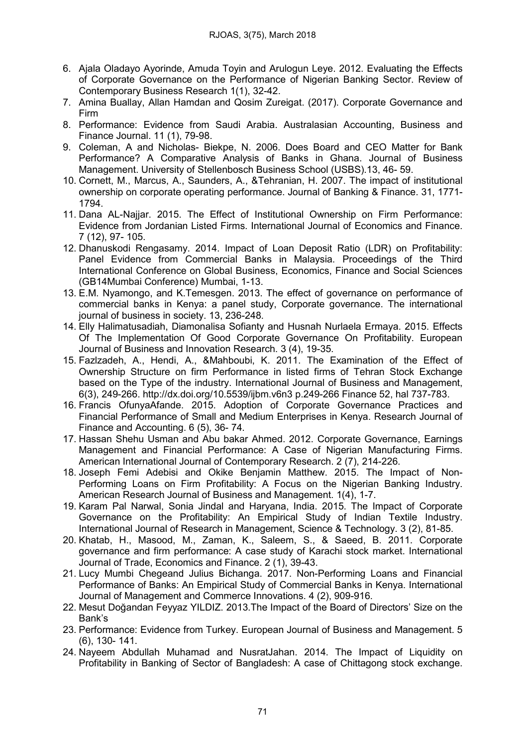- 6. Ajala Oladayo Ayorinde, Amuda Toyin and Arulogun Leye. 2012. Evaluating the Effects of Corporate Governance on the Performance of Nigerian Banking Sector. Review of Contemporary Business Research 1(1), 32-42.
- 7. Amina Buallay, Allan Hamdan and Qosim Zureigat. (2017). Corporate Governance and Firm
- 8. Performance: Evidence from Saudi Arabia. Australasian Accounting, Business and Finance Journal. 11 (1), 79-98.
- 9. Coleman, A and Nicholas- Biekpe, N. 2006. Does Board and CEO Matter for Bank Performance? A Comparative Analysis of Banks in Ghana. Journal of Business Management. University of Stellenbosch Business School (USBS).13, 46- 59.
- 10. Cornett, M., Marcus, A., Saunders, A., &Tehranian, H. 2007. The impact of institutional ownership on corporate operating performance. Journal of Banking & Finance. 31, 1771- 1794.
- 11. Dana AL-Najjar. 2015. The Effect of Institutional Ownership on Firm Performance: Evidence from Jordanian Listed Firms. International Journal of Economics and Finance. 7 (12), 97- 105.
- 12. Dhanuskodi Rengasamy. 2014. Impact of Loan Deposit Ratio (LDR) on Profitability: Panel Evidence from Commercial Banks in Malaysia. Proceedings of the Third International Conference on Global Business, Economics, Finance and Social Sciences (GB14Mumbai Conference) Mumbai, 1-13.
- 13. E.M. Nyamongo, and K.Temesgen. 2013. The effect of governance on performance of commercial banks in Kenya: a panel study, Corporate governance. The international journal of business in society. 13, 236-248.
- 14. Elly Halimatusadiah, Diamonalisa Sofianty and Husnah Nurlaela Ermaya. 2015. Effects Of The Implementation Of Good Corporate Governance On Profitability. European Journal of Business and Innovation Research. 3 (4), 19-35.
- 15. Fazlzadeh, A., Hendi, A., &Mahboubi, K. 2011. The Examination of the Effect of Ownership Structure on firm Performance in listed firms of Tehran Stock Exchange based on the Type of the industry. International Journal of Business and Management, 6(3), 249-266. http://dx.doi.org/10.5539/ijbm.v6n3 p.249-266 Finance 52, hal 737-783.
- 16. Francis OfunyaAfande. 2015. Adoption of Corporate Governance Practices and Financial Performance of Small and Medium Enterprises in Kenya. Research Journal of Finance and Accounting. 6 (5), 36- 74.
- 17. Hassan Shehu Usman and Abu bakar Ahmed. 2012. Corporate Governance, Earnings Management and Financial Performance: A Case of Nigerian Manufacturing Firms. American International Journal of Contemporary Research. 2 (7), 214-226.
- 18. Joseph Femi Adebisi and Okike Benjamin Matthew. 2015. The Impact of Non-Performing Loans on Firm Profitability: A Focus on the Nigerian Banking Industry. American Research Journal of Business and Management. 1(4), 1-7.
- 19. Karam Pal Narwal, Sonia Jindal and Haryana, India. 2015. The Impact of Corporate Governance on the Profitability: An Empirical Study of Indian Textile Industry. International Journal of Research in Management, Science & Technology. 3 (2), 81-85.
- 20. Khatab, H., Masood, M., Zaman, K., Saleem, S., & Saeed, B. 2011. Corporate governance and firm performance: A case study of Karachi stock market. International Journal of Trade, Economics and Finance. 2 (1), 39-43.
- 21. Lucy Mumbi Chegeand Julius Bichanga. 2017. Non-Performing Loans and Financial Performance of Banks: An Empirical Study of Commercial Banks in Kenya. International Journal of Management and Commerce Innovations. 4 (2), 909-916.
- 22. Mesut Doğandan Feyyaz YILDIZ. 2013.The Impact of the Board of Directors' Size on the Bank's
- 23. Performance: Evidence from Turkey. European Journal of Business and Management. 5 (6), 130- 141.
- 24. Nayeem Abdullah Muhamad and NusratJahan. 2014. The Impact of Liquidity on Profitability in Banking of Sector of Bangladesh: A case of Chittagong stock exchange.